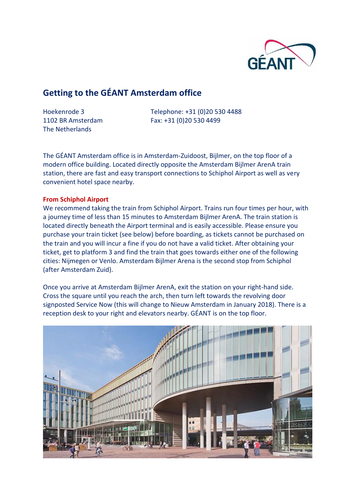

# **Getting to the GÉANT Amsterdam office**

The Netherlands

Hoekenrode 3 Telephone: +31 (0)20 530 4488 1102 BR Amsterdam Fax: +31 (0)20 530 4499

The GÉANT Amsterdam office is in Amsterdam-Zuidoost, Bijlmer, on the top floor of a modern office building. Located directly opposite the Amsterdam Bijlmer ArenA train station, there are fast and easy transport connections to Schiphol Airport as well as very convenient hotel space nearby.

## **From Schiphol Airport**

We recommend taking the train from Schiphol Airport. Trains run four times per hour, with a journey time of less than 15 minutes to Amsterdam Bijlmer ArenA. The train station is located directly beneath the Airport terminal and is easily accessible. Please ensure you purchase your train ticket (see below) before boarding, as tickets cannot be purchased on the train and you will incur a fine if you do not have a valid ticket. After obtaining your ticket, get to platform 3 and find the train that goes towards either one of the following cities: Nijmegen or Venlo. Amsterdam Bijlmer Arena is the second stop from Schiphol (after Amsterdam Zuid).

Once you arrive at Amsterdam Bijlmer ArenA, exit the station on your right-hand side. Cross the square until you reach the arch, then turn left towards the revolving door signposted Service Now (this will change to Nieuw Amsterdam in January 2018). There is a reception desk to your right and elevators nearby. GÉANT is on the top floor.

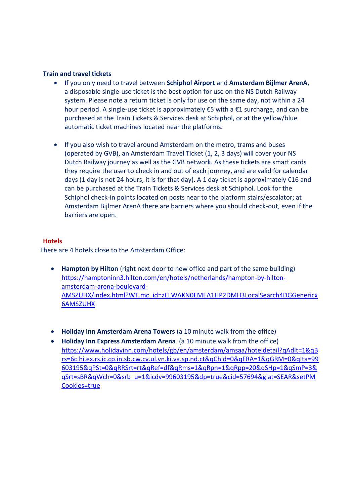## **Train and travel tickets**

- If you only need to travel between **Schiphol Airport** and **Amsterdam Bijlmer ArenA**, a disposable single-use ticket is the best option for use on the NS Dutch Railway system. Please note a return ticket is only for use on the same day, not within a 24 hour period. A single-use ticket is approximately €5 with a €1 surcharge, and can be purchased at the Train Tickets & Services desk at Schiphol, or at the yellow/blue automatic ticket machines located near the platforms.
- If you also wish to travel around Amsterdam on the metro, trams and buses (operated by GVB), an Amsterdam Travel Ticket (1, 2, 3 days) will cover your NS Dutch Railway journey as well as the GVB network. As these tickets are smart cards they require the user to check in and out of each journey, and are valid for calendar days (1 day is not 24 hours, it is for that day). A 1 day ticket is approximately €16 and can be purchased at the Train Tickets & Services desk at Schiphol. Look for the Schiphol check-in points located on posts near to the platform stairs/escalator; at Amsterdam Bijlmer ArenA there are barriers where you should check-out, even if the barriers are open.

## **Hotels**

There are 4 hotels close to the Amsterdam Office:

- **Hampton by Hilton** (right next door to new office and part of the same building) [https://hamptoninn3.hilton.com/en/hotels/netherlands/hampton-by-hilton](https://hamptoninn3.hilton.com/en/hotels/netherlands/hampton-by-hilton-amsterdam-arena-boulevard-AMSZUHX/index.html?WT.mc_id=zELWAKN0EMEA1HP2DMH3LocalSearch4DGGenericx6AMSZUHX)[amsterdam-arena-boulevard-](https://hamptoninn3.hilton.com/en/hotels/netherlands/hampton-by-hilton-amsterdam-arena-boulevard-AMSZUHX/index.html?WT.mc_id=zELWAKN0EMEA1HP2DMH3LocalSearch4DGGenericx6AMSZUHX)[AMSZUHX/index.html?WT.mc\\_id=zELWAKN0EMEA1HP2DMH3LocalSearch4DGGenericx](https://hamptoninn3.hilton.com/en/hotels/netherlands/hampton-by-hilton-amsterdam-arena-boulevard-AMSZUHX/index.html?WT.mc_id=zELWAKN0EMEA1HP2DMH3LocalSearch4DGGenericx6AMSZUHX) [6AMSZUHX](https://hamptoninn3.hilton.com/en/hotels/netherlands/hampton-by-hilton-amsterdam-arena-boulevard-AMSZUHX/index.html?WT.mc_id=zELWAKN0EMEA1HP2DMH3LocalSearch4DGGenericx6AMSZUHX)
- **Holiday Inn Amsterdam Arena Towers** (a 10 minute walk from the office)
- **Holiday Inn Express Amsterdam Arena** (a 10 minute walk from the office) [https://www.holidayinn.com/hotels/gb/en/amsterdam/amsaa/hoteldetail?qAdlt=1&qB](https://www.holidayinn.com/hotels/gb/en/amsterdam/amsaa/hoteldetail?qAdlt=1&qBrs=6c.hi.ex.rs.ic.cp.in.sb.cw.cv.ul.vn.ki.va.sp.nd.ct&qChld=0&qFRA=1&qGRM=0&qIta=99603195&qPSt=0&qRRSrt=rt&qRef=df&qRms=1&qRpn=1&qRpp=20&qSHp=1&qSmP=3&qSrt=sBR&qWch=0&srb_u=1&icdv=99603195&dp=true&cid=57694&glat=SEAR&setPMCookies=true) [rs=6c.hi.ex.rs.ic.cp.in.sb.cw.cv.ul.vn.ki.va.sp.nd.ct&qChld=0&qFRA=1&qGRM=0&qIta=99](https://www.holidayinn.com/hotels/gb/en/amsterdam/amsaa/hoteldetail?qAdlt=1&qBrs=6c.hi.ex.rs.ic.cp.in.sb.cw.cv.ul.vn.ki.va.sp.nd.ct&qChld=0&qFRA=1&qGRM=0&qIta=99603195&qPSt=0&qRRSrt=rt&qRef=df&qRms=1&qRpn=1&qRpp=20&qSHp=1&qSmP=3&qSrt=sBR&qWch=0&srb_u=1&icdv=99603195&dp=true&cid=57694&glat=SEAR&setPMCookies=true) [603195&qPSt=0&qRRSrt=rt&qRef=df&qRms=1&qRpn=1&qRpp=20&qSHp=1&qSmP=3&](https://www.holidayinn.com/hotels/gb/en/amsterdam/amsaa/hoteldetail?qAdlt=1&qBrs=6c.hi.ex.rs.ic.cp.in.sb.cw.cv.ul.vn.ki.va.sp.nd.ct&qChld=0&qFRA=1&qGRM=0&qIta=99603195&qPSt=0&qRRSrt=rt&qRef=df&qRms=1&qRpn=1&qRpp=20&qSHp=1&qSmP=3&qSrt=sBR&qWch=0&srb_u=1&icdv=99603195&dp=true&cid=57694&glat=SEAR&setPMCookies=true) [qSrt=sBR&qWch=0&srb\\_u=1&icdv=99603195&dp=true&cid=57694&glat=SEAR&setPM](https://www.holidayinn.com/hotels/gb/en/amsterdam/amsaa/hoteldetail?qAdlt=1&qBrs=6c.hi.ex.rs.ic.cp.in.sb.cw.cv.ul.vn.ki.va.sp.nd.ct&qChld=0&qFRA=1&qGRM=0&qIta=99603195&qPSt=0&qRRSrt=rt&qRef=df&qRms=1&qRpn=1&qRpp=20&qSHp=1&qSmP=3&qSrt=sBR&qWch=0&srb_u=1&icdv=99603195&dp=true&cid=57694&glat=SEAR&setPMCookies=true) [Cookies=true](https://www.holidayinn.com/hotels/gb/en/amsterdam/amsaa/hoteldetail?qAdlt=1&qBrs=6c.hi.ex.rs.ic.cp.in.sb.cw.cv.ul.vn.ki.va.sp.nd.ct&qChld=0&qFRA=1&qGRM=0&qIta=99603195&qPSt=0&qRRSrt=rt&qRef=df&qRms=1&qRpn=1&qRpp=20&qSHp=1&qSmP=3&qSrt=sBR&qWch=0&srb_u=1&icdv=99603195&dp=true&cid=57694&glat=SEAR&setPMCookies=true)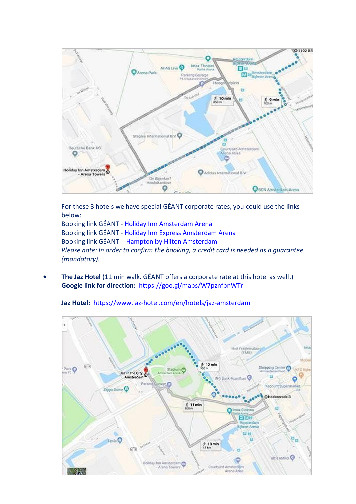

For these 3 hotels we have special GÉANT corporate rates, you could use the links below:

Booking link GÉANT - [Holiday Inn Amsterdam Arena](https://www.holidayinn.com/redirect?path=hd&brandCode=HI&localeCode=en&hotelCode=AMSAA&rateCode=IEQ27&_PMID=99585603&viewfullsite=true) Booking link GÉANT - [Holiday Inn Express Amsterdam Arena](https://www.hiexpress.com/redirect?path=hd&brandCode=EX&localeCode=en&hotelCode=AMSEA&rateCode=IEQ27&_PMID=99585603&viewfullsite=true) Booking link GÉANT - Hampton by Hilton Amsterdam *Please note: In order to confirm the booking, a credit card is needed as a guarantee (mandatory).*

**• The Jaz Hotel** (11 min walk. GÉANT offers a corporate rate at this hotel as well.) **Google link for direction:** <https://goo.gl/maps/W7pznfbnWTr>



**Jaz Hotel:** <https://www.jaz-hotel.com/en/hotels/jaz-amsterdam>